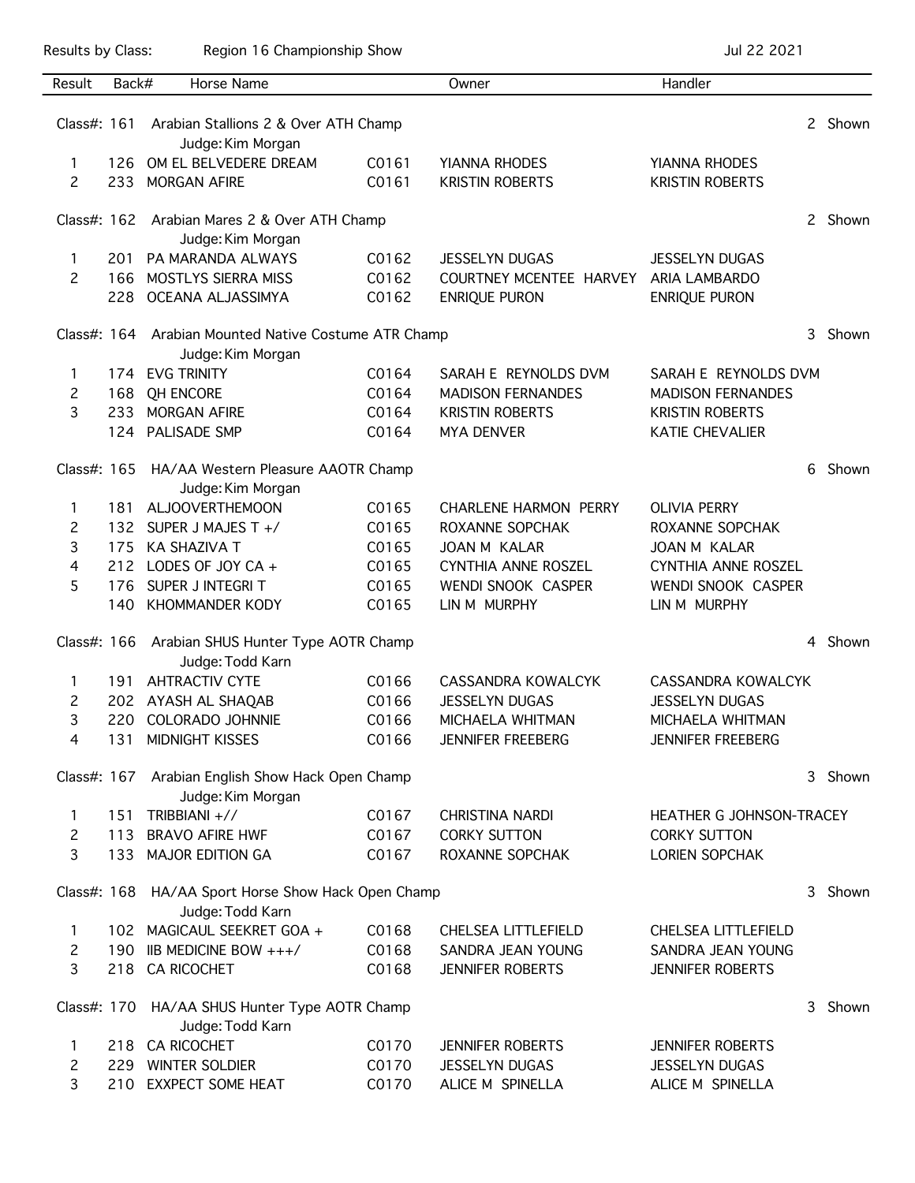Results by Class: Region 16 Championship Show Championship Show Jul 22 2021

| Result                                                                 | Back#                                                   | Horse Name                                                             |                | Owner                                           | Handler                    |   |         |
|------------------------------------------------------------------------|---------------------------------------------------------|------------------------------------------------------------------------|----------------|-------------------------------------------------|----------------------------|---|---------|
|                                                                        |                                                         |                                                                        |                |                                                 |                            |   |         |
| Class#: $161$                                                          |                                                         | Arabian Stallions 2 & Over ATH Champ                                   |                |                                                 |                            |   | 2 Shown |
|                                                                        |                                                         | Judge: Kim Morgan                                                      |                |                                                 |                            |   |         |
| 1                                                                      | 126                                                     | OM EL BELVEDERE DREAM                                                  | C0161          | YIANNA RHODES                                   | YIANNA RHODES              |   |         |
| $\overline{c}$                                                         | 233                                                     | <b>MORGAN AFIRE</b>                                                    | C0161          | <b>KRISTIN ROBERTS</b>                          | <b>KRISTIN ROBERTS</b>     |   |         |
|                                                                        |                                                         | Class#: 162 Arabian Mares 2 & Over ATH Champ                           |                |                                                 |                            |   | 2 Shown |
|                                                                        |                                                         | Judge: Kim Morgan                                                      |                |                                                 |                            |   |         |
| 1                                                                      | 201                                                     | PA MARANDA ALWAYS                                                      | C0162<br>C0162 | <b>JESSELYN DUGAS</b>                           | <b>JESSELYN DUGAS</b>      |   |         |
| $\mathcal{P}$                                                          | 166<br>228                                              | MOSTLYS SIERRA MISS<br>OCEANA ALJASSIMYA                               | C0162          | COURTNEY MCENTEE HARVEY<br><b>ENRIQUE PURON</b> | <b>ARIA LAMBARDO</b>       |   |         |
|                                                                        |                                                         |                                                                        |                |                                                 | ENRIQUE PURON              |   |         |
|                                                                        |                                                         | Class#: 164 Arabian Mounted Native Costume ATR Champ                   |                |                                                 |                            |   |         |
|                                                                        |                                                         | Judge: Kim Morgan                                                      |                |                                                 |                            |   |         |
| 1                                                                      | 174                                                     | <b>EVG TRINITY</b>                                                     | C0164          | SARAH E REYNOLDS DVM                            | SARAH E REYNOLDS DVM       |   |         |
| 2                                                                      | 168                                                     | <b>QH ENCORE</b>                                                       | C0164          | <b>MADISON FERNANDES</b>                        | <b>MADISON FERNANDES</b>   |   |         |
| 3                                                                      | 233                                                     | <b>MORGAN AFIRE</b>                                                    | C0164          | <b>KRISTIN ROBERTS</b>                          | <b>KRISTIN ROBERTS</b>     |   |         |
|                                                                        | 124                                                     | PALISADE SMP                                                           | C0164          | <b>MYA DENVER</b>                               | <b>KATIE CHEVALIER</b>     |   |         |
| Class#: 165                                                            | HA/AA Western Pleasure AAOTR Champ<br>Judge: Kim Morgan |                                                                        |                |                                                 |                            | 6 | Shown   |
| 1                                                                      | 181                                                     | <b>ALJOOVERTHEMOON</b>                                                 | C0165          | <b>CHARLENE HARMON PERRY</b>                    | <b>OLIVIA PERRY</b>        |   |         |
| 2                                                                      | 132                                                     | SUPER J MAJES T +/                                                     | C0165          | ROXANNE SOPCHAK                                 | ROXANNE SOPCHAK            |   |         |
| 3                                                                      | 175                                                     | <b>KA SHAZIVA T</b>                                                    | C0165          | <b>JOAN M KALAR</b>                             | JOAN M KALAR               |   |         |
| 4                                                                      | 212                                                     | LODES OF JOY CA +                                                      | C0165          | CYNTHIA ANNE ROSZEL                             | <b>CYNTHIA ANNE ROSZEL</b> |   |         |
| 5                                                                      | 176                                                     | SUPER J INTEGRI T                                                      | C0165          | WENDI SNOOK CASPER                              | <b>WENDI SNOOK CASPER</b>  |   |         |
|                                                                        | 140                                                     | <b>KHOMMANDER KODY</b>                                                 | C0165          | LIN M MURPHY                                    | LIN M MURPHY               |   |         |
| Class#: 166<br>Arabian SHUS Hunter Type AOTR Champ<br>Judge: Todd Karn |                                                         |                                                                        |                |                                                 |                            | 4 | Shown   |
| 1                                                                      | 191                                                     | <b>AHTRACTIV CYTE</b>                                                  | C0166          | <b>CASSANDRA KOWALCYK</b>                       | CASSANDRA KOWALCYK         |   |         |
| 2                                                                      |                                                         | 202 AYASH AL SHAQAB                                                    | C0166          | <b>JESSELYN DUGAS</b>                           | <b>JESSELYN DUGAS</b>      |   |         |
| 3                                                                      | 220                                                     | <b>COLORADO JOHNNIE</b>                                                | C0166          | MICHAELA WHITMAN                                | MICHAELA WHITMAN           |   |         |
| 4                                                                      | 131                                                     | <b>MIDNIGHT KISSES</b>                                                 | C0166          | <b>JENNIFER FREEBERG</b>                        | <b>JENNIFER FREEBERG</b>   |   |         |
|                                                                        |                                                         | Class#: 167 Arabian English Show Hack Open Champ                       |                |                                                 |                            | 3 | Shown   |
|                                                                        |                                                         | Judge: Kim Morgan                                                      |                |                                                 |                            |   |         |
| 1                                                                      | 151                                                     | TRIBBIANI +//                                                          | C0167          | <b>CHRISTINA NARDI</b>                          | HEATHER G JOHNSON-TRACEY   |   |         |
| 2                                                                      | 113                                                     | <b>BRAVO AFIRE HWF</b>                                                 | C0167          | <b>CORKY SUTTON</b>                             | <b>CORKY SUTTON</b>        |   |         |
| 3                                                                      |                                                         | 133 MAJOR EDITION GA                                                   | C0167          | ROXANNE SOPCHAK                                 | <b>LORIEN SOPCHAK</b>      |   |         |
|                                                                        |                                                         | Class#: 168 HA/AA Sport Horse Show Hack Open Champ<br>Judge: Todd Karn |                |                                                 |                            | 3 | Shown   |
| 1                                                                      |                                                         | 102 MAGICAUL SEEKRET GOA +                                             | C0168          | CHELSEA LITTLEFIELD                             | CHELSEA LITTLEFIELD        |   |         |
| 2                                                                      | 190                                                     | IIB MEDICINE BOW +++/                                                  | C0168          | SANDRA JEAN YOUNG                               | SANDRA JEAN YOUNG          |   |         |
| 3                                                                      | 218                                                     | <b>CA RICOCHET</b>                                                     | C0168          | <b>JENNIFER ROBERTS</b>                         | <b>JENNIFER ROBERTS</b>    |   |         |
|                                                                        |                                                         | Class#: 170 HA/AA SHUS Hunter Type AOTR Champ<br>Judge: Todd Karn      |                |                                                 |                            | 3 | Shown   |
| 1                                                                      | 218                                                     | <b>CA RICOCHET</b>                                                     | C0170          | <b>JENNIFER ROBERTS</b>                         | <b>JENNIFER ROBERTS</b>    |   |         |
| 2                                                                      | 229                                                     | <b>WINTER SOLDIER</b>                                                  | C0170          | <b>JESSELYN DUGAS</b>                           | <b>JESSELYN DUGAS</b>      |   |         |
| 3                                                                      | 210                                                     | <b>EXXPECT SOME HEAT</b>                                               | C0170          | ALICE M SPINELLA                                | ALICE M SPINELLA           |   |         |